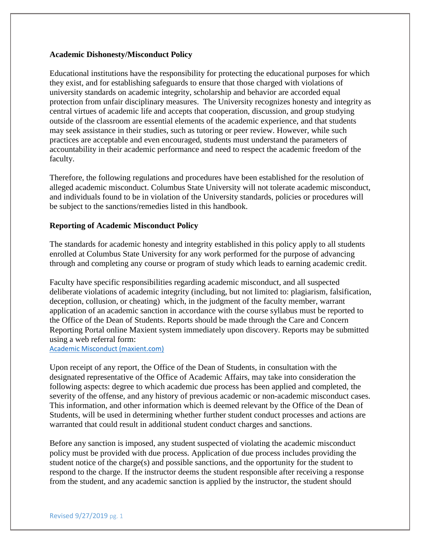### **Academic Dishonesty/Misconduct Policy**

Educational institutions have the responsibility for protecting the educational purposes for which they exist, and for establishing safeguards to ensure that those charged with violations of university standards on academic integrity, scholarship and behavior are accorded equal protection from unfair disciplinary measures. The University recognizes honesty and integrity as central virtues of academic life and accepts that cooperation, discussion, and group studying outside of the classroom are essential elements of the academic experience, and that students may seek assistance in their studies, such as tutoring or peer review. However, while such practices are acceptable and even encouraged, students must understand the parameters of accountability in their academic performance and need to respect the academic freedom of the faculty.

Therefore, the following regulations and procedures have been established for the resolution of alleged academic misconduct. Columbus State University will not tolerate academic misconduct, and individuals found to be in violation of the University standards, policies or procedures will be subject to the sanctions/remedies listed in this handbook.

### **Reporting of Academic Misconduct Policy**

The standards for academic honesty and integrity established in this policy apply to all students enrolled at Columbus State University for any work performed for the purpose of advancing through and completing any course or program of study which leads to earning academic credit.

Faculty have specific responsibilities regarding academic misconduct, and all suspected deliberate violations of academic integrity (including, but not limited to: plagiarism, falsification, deception, collusion, or cheating) which, in the judgment of the faculty member, warrant application of an academic sanction in accordance with the course syllabus must be reported to the Office of the Dean of Students. Reports should be made through the Care and Concern Reporting Portal online Maxient system immediately upon discovery. Reports may be submitted using a web referral form:

[Academic Misconduct \(maxient.com\)](https://cm.maxient.com/reportingform.php?ColumbusStateUniv&layout_id=4)

Upon receipt of any report, the Office of the Dean of Students, in consultation with the designated representative of the Office of Academic Affairs, may take into consideration the following aspects: degree to which academic due process has been applied and completed, the severity of the offense, and any history of previous academic or non-academic misconduct cases. This information, and other information which is deemed relevant by the Office of the Dean of Students, will be used in determining whether further student conduct processes and actions are warranted that could result in additional student conduct charges and sanctions.

Before any sanction is imposed, any student suspected of violating the academic misconduct policy must be provided with due process. Application of due process includes providing the student notice of the charge(s) and possible sanctions, and the opportunity for the student to respond to the charge. If the instructor deems the student responsible after receiving a response from the student, and any academic sanction is applied by the instructor, the student should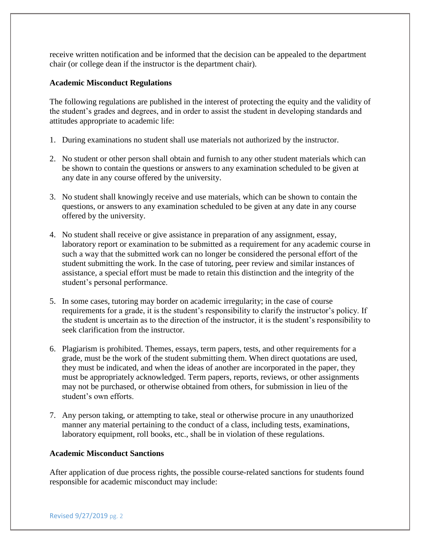receive written notification and be informed that the decision can be appealed to the department chair (or college dean if the instructor is the department chair).

# **Academic Misconduct Regulations**

The following regulations are published in the interest of protecting the equity and the validity of the student's grades and degrees, and in order to assist the student in developing standards and attitudes appropriate to academic life:

- 1. During examinations no student shall use materials not authorized by the instructor.
- 2. No student or other person shall obtain and furnish to any other student materials which can be shown to contain the questions or answers to any examination scheduled to be given at any date in any course offered by the university.
- 3. No student shall knowingly receive and use materials, which can be shown to contain the questions, or answers to any examination scheduled to be given at any date in any course offered by the university.
- 4. No student shall receive or give assistance in preparation of any assignment, essay, laboratory report or examination to be submitted as a requirement for any academic course in such a way that the submitted work can no longer be considered the personal effort of the student submitting the work. In the case of tutoring, peer review and similar instances of assistance, a special effort must be made to retain this distinction and the integrity of the student's personal performance.
- 5. In some cases, tutoring may border on academic irregularity; in the case of course requirements for a grade, it is the student's responsibility to clarify the instructor's policy. If the student is uncertain as to the direction of the instructor, it is the student's responsibility to seek clarification from the instructor.
- 6. Plagiarism is prohibited. Themes, essays, term papers, tests, and other requirements for a grade, must be the work of the student submitting them. When direct quotations are used, they must be indicated, and when the ideas of another are incorporated in the paper, they must be appropriately acknowledged. Term papers, reports, reviews, or other assignments may not be purchased, or otherwise obtained from others, for submission in lieu of the student's own efforts.
- 7. Any person taking, or attempting to take, steal or otherwise procure in any unauthorized manner any material pertaining to the conduct of a class, including tests, examinations, laboratory equipment, roll books, etc., shall be in violation of these regulations.

# **Academic Misconduct Sanctions**

After application of due process rights, the possible course-related sanctions for students found responsible for academic misconduct may include: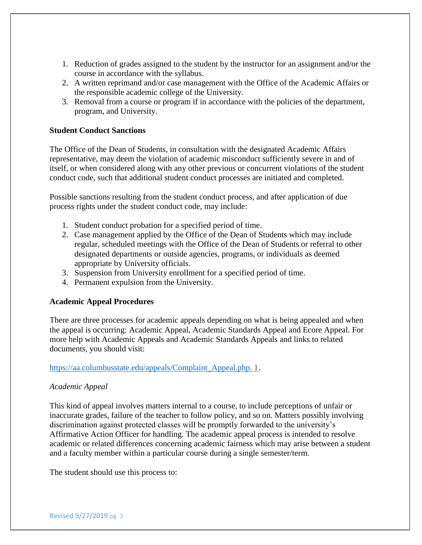- 1. Reduction of grades assigned to the student by the instructor for an assignment and/or the course in accordance with the syllabus.
- 2. A written reprimand and/or case management with the Office of the Academic Affairs or the responsible academic college of the University.
- 3. Removal from a course or program if in accordance with the policies of the department, program, and University.

# **Student Conduct Sanctions**

The Office of the Dean of Students, in consultation with the designated Academic Affairs representative, may deem the violation of academic misconduct sufficiently severe in and of itself, or when considered along with any other previous or concurrent violations of the student conduct code, such that additional student conduct processes are initiated and completed.

Possible sanctions resulting from the student conduct process, and after application of due process rights under the student conduct code, may include:

- 1. Student conduct probation for a specified period of time.
- 2. Case management applied by the Office of the Dean of Students which may include regular, scheduled meetings with the Office of the Dean of Students or referral to other designated departments or outside agencies, programs, or individuals as deemed appropriate by University officials.
- 3. Suspension from University enrollment for a specified period of time.
- 4. Permanent expulsion from the University.

### **Academic Appeal Procedures**

There are three processes for academic appeals depending on what is being appealed and when the appeal is occurring: Academic Appeal, Academic Standards Appeal and Ecore Appeal. For more help with Academic Appeals and Academic Standards Appeals and links to related documents, you should visit:

### [https://aa.columbusstate.edu/appeals/Complaint\\_Appeal.php. 1.](https://aa.columbusstate.edu/appeals/Complaint_Appeal.php.%201)

# *Academic Appeal*

This kind of appeal involves matters internal to a course, to include perceptions of unfair or inaccurate grades, failure of the teacher to follow policy, and so on. Matters possibly involving discrimination against protected classes will be promptly forwarded to the university's Affirmative Action Officer for handling. The academic appeal process is intended to resolve academic or related differences concerning academic fairness which may arise between a student and a faculty member within a particular course during a single semester/term.

The student should use this process to: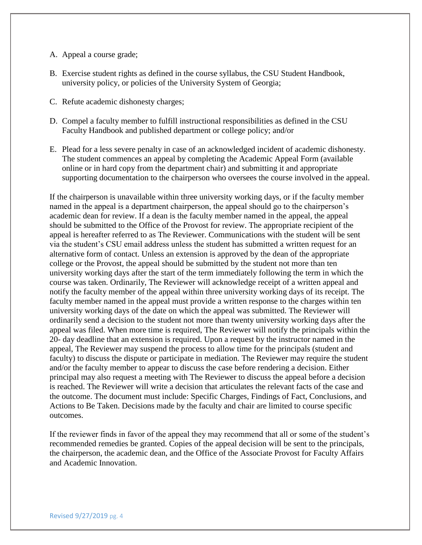### A. Appeal a course grade;

- B. Exercise student rights as defined in the course syllabus, the CSU Student Handbook, university policy, or policies of the University System of Georgia;
- C. Refute academic dishonesty charges;
- D. Compel a faculty member to fulfill instructional responsibilities as defined in the CSU Faculty Handbook and published department or college policy; and/or
- E. Plead for a less severe penalty in case of an acknowledged incident of academic dishonesty. The student commences an appeal by completing the Academic Appeal Form (available online or in hard copy from the department chair) and submitting it and appropriate supporting documentation to the chairperson who oversees the course involved in the appeal.

If the chairperson is unavailable within three university working days, or if the faculty member named in the appeal is a department chairperson, the appeal should go to the chairperson's academic dean for review. If a dean is the faculty member named in the appeal, the appeal should be submitted to the Office of the Provost for review. The appropriate recipient of the appeal is hereafter referred to as The Reviewer. Communications with the student will be sent via the student's CSU email address unless the student has submitted a written request for an alternative form of contact. Unless an extension is approved by the dean of the appropriate college or the Provost, the appeal should be submitted by the student not more than ten university working days after the start of the term immediately following the term in which the course was taken. Ordinarily, The Reviewer will acknowledge receipt of a written appeal and notify the faculty member of the appeal within three university working days of its receipt. The faculty member named in the appeal must provide a written response to the charges within ten university working days of the date on which the appeal was submitted. The Reviewer will ordinarily send a decision to the student not more than twenty university working days after the appeal was filed. When more time is required, The Reviewer will notify the principals within the 20- day deadline that an extension is required. Upon a request by the instructor named in the appeal, The Reviewer may suspend the process to allow time for the principals (student and faculty) to discuss the dispute or participate in mediation. The Reviewer may require the student and/or the faculty member to appear to discuss the case before rendering a decision. Either principal may also request a meeting with The Reviewer to discuss the appeal before a decision is reached. The Reviewer will write a decision that articulates the relevant facts of the case and the outcome. The document must include: Specific Charges, Findings of Fact, Conclusions, and Actions to Be Taken. Decisions made by the faculty and chair are limited to course specific outcomes.

If the reviewer finds in favor of the appeal they may recommend that all or some of the student's recommended remedies be granted. Copies of the appeal decision will be sent to the principals, the chairperson, the academic dean, and the Office of the Associate Provost for Faculty Affairs and Academic Innovation.